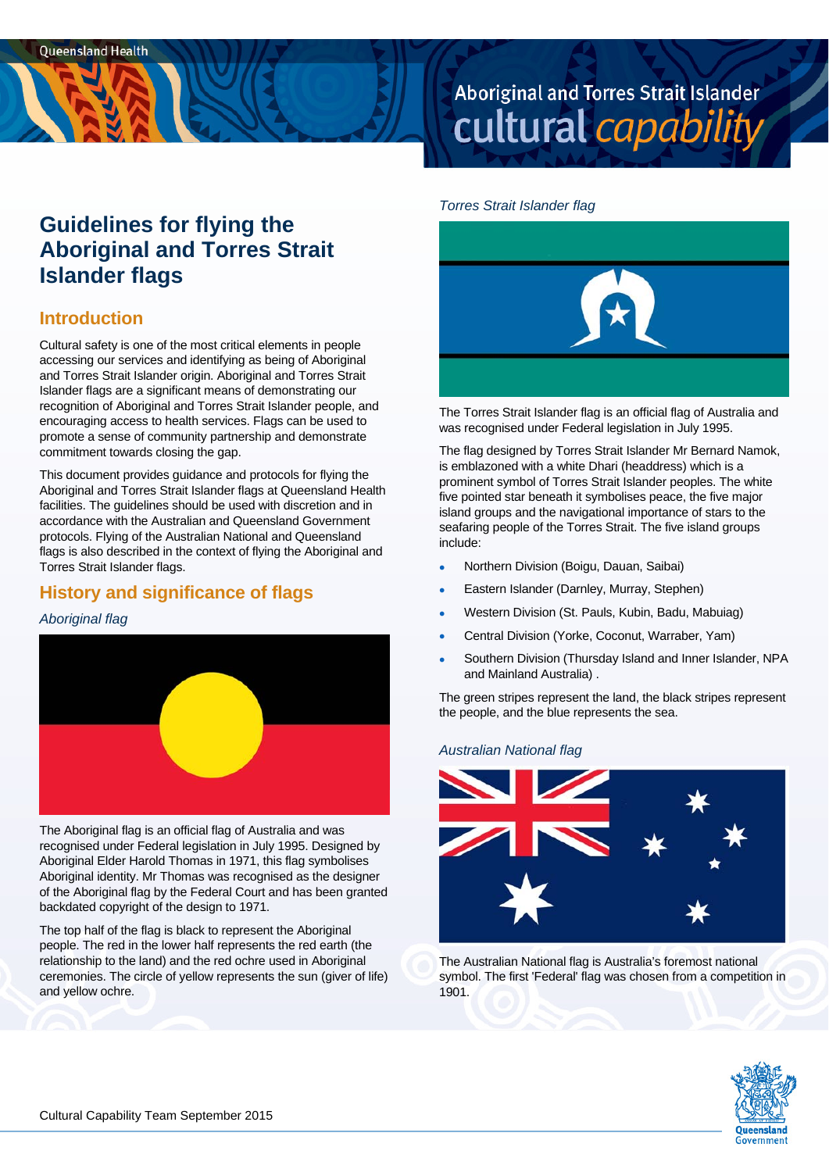# Aboriginal and Torres Strait Islander cultural capability

#### *Torres Strait Islander flag*

# **Guidelines for flying the Aboriginal and Torres Strait Islander flags**

### **Introduction**

Cultural safety is one of the most critical elements in people accessing our services and identifying as being of Aboriginal and Torres Strait Islander origin. Aboriginal and Torres Strait Islander flags are a significant means of demonstrating our recognition of Aboriginal and Torres Strait Islander people, and encouraging access to health services. Flags can be used to promote a sense of community partnership and demonstrate commitment towards closing the gap.

This document provides guidance and protocols for flying the Aboriginal and Torres Strait Islander flags at Queensland Health facilities. The guidelines should be used with discretion and in accordance with the Australian and Queensland Government protocols. Flying of the Australian National and Queensland flags is also described in the context of flying the Aboriginal and Torres Strait Islander flags.

# **History and significance of flags**

#### *Aboriginal flag*



The Aboriginal flag is an official flag of Australia and was recognised under Federal legislation in July 1995. Designed by Aboriginal Elder Harold Thomas in 1971, this flag symbolises Aboriginal identity. Mr Thomas was recognised as the designer of the Aboriginal flag by the Federal Court and has been granted backdated copyright of the design to 1971.

The top half of the flag is black to represent the Aboriginal people. The red in the lower half represents the red earth (the relationship to the land) and the red ochre used in Aboriginal ceremonies. The circle of yellow represents the sun (giver of life) and yellow ochre.



The Torres Strait Islander flag is an official flag of Australia and was recognised under Federal legislation in July 1995.

The flag designed by Torres Strait Islander Mr Bernard Namok, is emblazoned with a white Dhari (headdress) which is a prominent symbol of Torres Strait Islander peoples. The white five pointed star beneath it symbolises peace, the five major island groups and the navigational importance of stars to the seafaring people of the Torres Strait. The five island groups include:

- Northern Division (Boigu, Dauan, Saibai)
- Eastern Islander (Darnley, Murray, Stephen)
- Western Division (St. Pauls, Kubin, Badu, Mabuiag)
- Central Division (Yorke, Coconut, Warraber, Yam)
- Southern Division (Thursday Island and Inner Islander, NPA and Mainland Australia) .

The green stripes represent the land, the black stripes represent the people, and the blue represents the sea.

#### *Australian National flag*



The Australian National flag is Australia's foremost national symbol. The first 'Federal' flag was chosen from a competition in 1901.

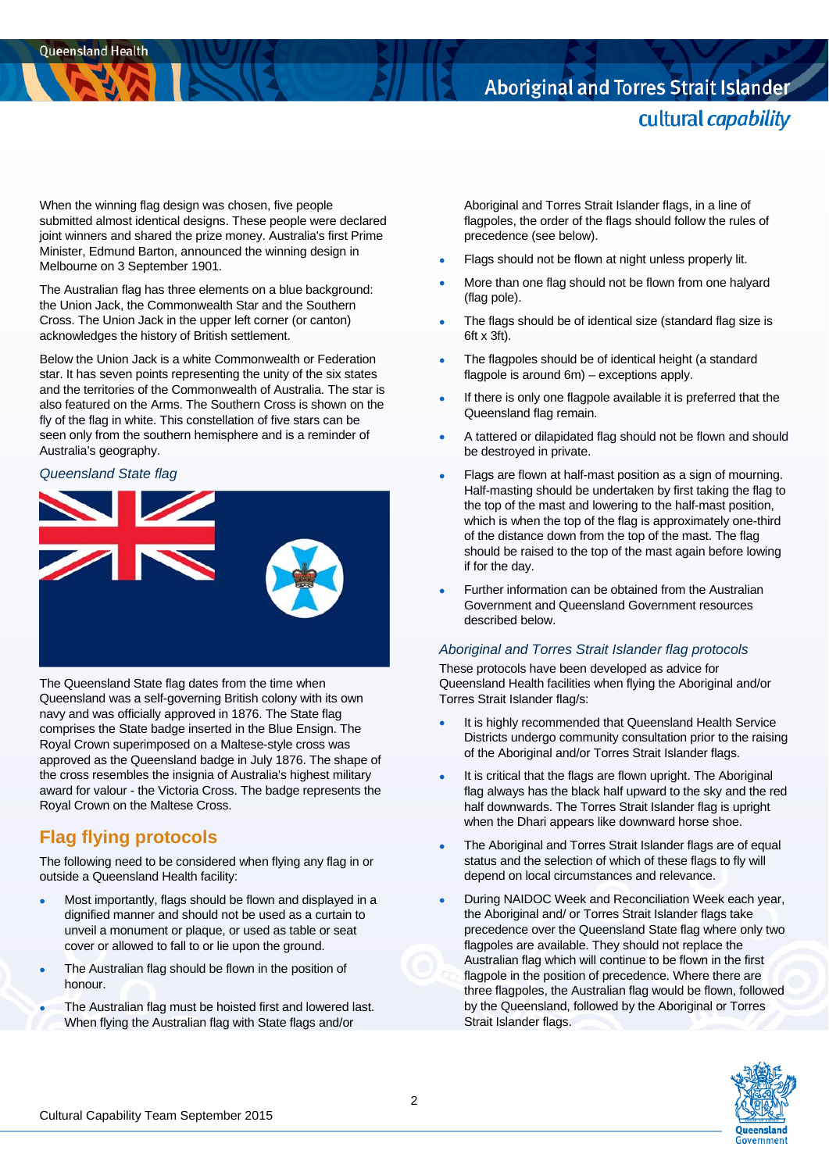# Aboriginal and Torres Strait Islander cultural capability

When the winning flag design was chosen, five people submitted almost identical designs. These people were declared joint winners and shared the prize money. Australia's first Prime Minister, Edmund Barton, announced the winning design in Melbourne on 3 September 1901.

The Australian flag has three elements on a blue background: the Union Jack, the Commonwealth Star and the Southern Cross. The Union Jack in the upper left corner (or canton) acknowledges the history of British settlement.

Below the Union Jack is a white Commonwealth or Federation star. It has seven points representing the unity of the six states and the territories of the Commonwealth of Australia. The star is also featured on the Arms. The Southern Cross is shown on the fly of the flag in white. This constellation of five stars can be seen only from the southern hemisphere and is a reminder of Australia's geography.

#### *Queensland State flag*



The Queensland State flag dates from the time when Queensland was a self-governing British colony with its own navy and was officially approved in 1876. The State flag comprises the State badge inserted in the Blue Ensign. The Royal Crown superimposed on a Maltese-style cross was approved as the Queensland badge in July 1876. The shape of the cross resembles the insignia of Australia's highest military award for valour - the Victoria Cross. The badge represents the Royal Crown on the Maltese Cross.

# **Flag flying protocols**

The following need to be considered when flying any flag in or outside a Queensland Health facility:

- Most importantly, flags should be flown and displayed in a dignified manner and should not be used as a curtain to unveil a monument or plaque, or used as table or seat cover or allowed to fall to or lie upon the ground.
- The Australian flag should be flown in the position of honour.
- The Australian flag must be hoisted first and lowered last. When flying the Australian flag with State flags and/or

Aboriginal and Torres Strait Islander flags, in a line of flagpoles, the order of the flags should follow the rules of precedence (see below).

- Flags should not be flown at night unless properly lit.
- More than one flag should not be flown from one halyard (flag pole).
- The flags should be of identical size (standard flag size is 6ft x 3ft).
- The flagpoles should be of identical height (a standard flagpole is around 6m) – exceptions apply.
- If there is only one flagpole available it is preferred that the Queensland flag remain.
- A tattered or dilapidated flag should not be flown and should be destroyed in private.
- Flags are flown at half-mast position as a sign of mourning. Half-masting should be undertaken by first taking the flag to the top of the mast and lowering to the half-mast position, which is when the top of the flag is approximately one-third of the distance down from the top of the mast. The flag should be raised to the top of the mast again before lowing if for the day.
- Further information can be obtained from the Australian Government and Queensland Government resources described below.

#### *Aboriginal and Torres Strait Islander flag protocols*

These protocols have been developed as advice for Queensland Health facilities when flying the Aboriginal and/or Torres Strait Islander flag/s:

- It is highly recommended that Queensland Health Service Districts undergo community consultation prior to the raising of the Aboriginal and/or Torres Strait Islander flags.
- It is critical that the flags are flown upright. The Aboriginal flag always has the black half upward to the sky and the red half downwards. The Torres Strait Islander flag is upright when the Dhari appears like downward horse shoe.
- The Aboriginal and Torres Strait Islander flags are of equal status and the selection of which of these flags to fly will depend on local circumstances and relevance.
- **During NAIDOC Week and Reconciliation Week each year,** the Aboriginal and/ or Torres Strait Islander flags take precedence over the Queensland State flag where only two flagpoles are available. They should not replace the Australian flag which will continue to be flown in the first flagpole in the position of precedence. Where there are three flagpoles, the Australian flag would be flown, followed by the Queensland, followed by the Aboriginal or Torres Strait Islander flags.

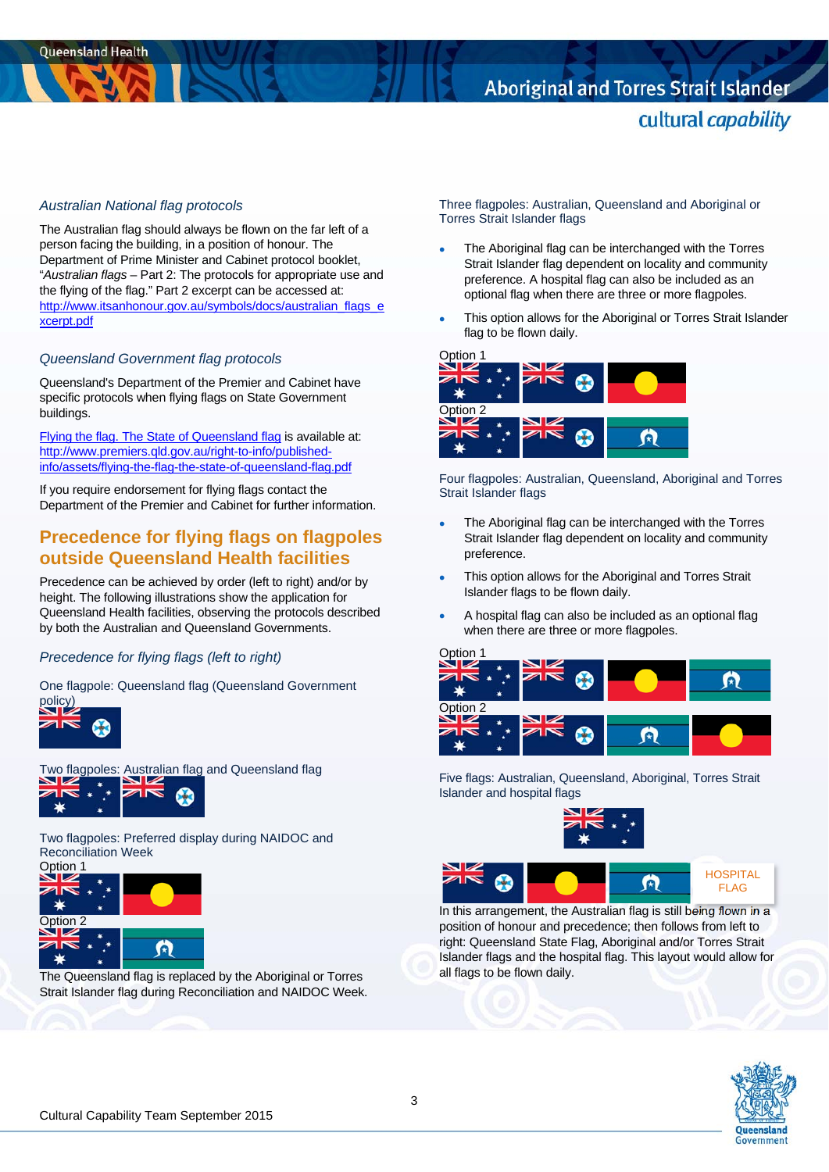# Aboriginal and Torres Strait Islander cultural capability

#### *Australian National flag protocols*

The Australian flag should always be flown on the far left of a person facing the building, in a position of honour. The Department of Prime Minister and Cabinet protocol booklet, "*Australian flags* – Part 2: The protocols for appropriate use and the flying of the flag." Part 2 excerpt can be accessed at: http://www.itsanhonour.gov.au/symbols/docs/australian\_flags\_e xcerpt.pdf

#### *Queensland Government flag protocols*

Queensland's Department of the Premier and Cabinet have specific protocols when flying flags on State Government buildings.

Flying the flag. The State of Queensland flag is available at: http://www.premiers.qld.gov.au/right-to-info/publishedinfo/assets/flying-the-flag-the-state-of-queensland-flag.pdf

If you require endorsement for flying flags contact the Department of the Premier and Cabinet for further information.

### **Precedence for flying flags on flagpoles outside Queensland Health facilities**

Precedence can be achieved by order (left to right) and/or by height. The following illustrations show the application for Queensland Health facilities, observing the protocols described by both the Australian and Queensland Governments.

#### *Precedence for flying flags (left to right)*

One flagpole: Queensland flag (Queensland Government policy)



Two flagpoles: Australian flag and Queensland flag



Two flagpoles: Preferred display during NAIDOC and Reconciliation Week



The Queensland flag is replaced by the Aboriginal or Torres Strait Islander flag during Reconciliation and NAIDOC Week. Three flagpoles: Australian, Queensland and Aboriginal or Torres Strait Islander flags

- The Aboriginal flag can be interchanged with the Torres Strait Islander flag dependent on locality and community preference. A hospital flag can also be included as an optional flag when there are three or more flagpoles.
- This option allows for the Aboriginal or Torres Strait Islander flag to be flown daily.



Four flagpoles: Australian, Queensland, Aboriginal and Torres Strait Islander flags

- The Aboriginal flag can be interchanged with the Torres Strait Islander flag dependent on locality and community preference.
- This option allows for the Aboriginal and Torres Strait Islander flags to be flown daily.
- A hospital flag can also be included as an optional flag when there are three or more flagpoles.



Five flags: Australian, Queensland, Aboriginal, Torres Strait Islander and hospital flags





In this arrangement, the Australian flag is still being flown in a position of honour and precedence; then follows from left to right: Queensland State Flag, Aboriginal and/or Torres Strait Islander flags and the hospital flag. This layout would allow for all flags to be flown daily.